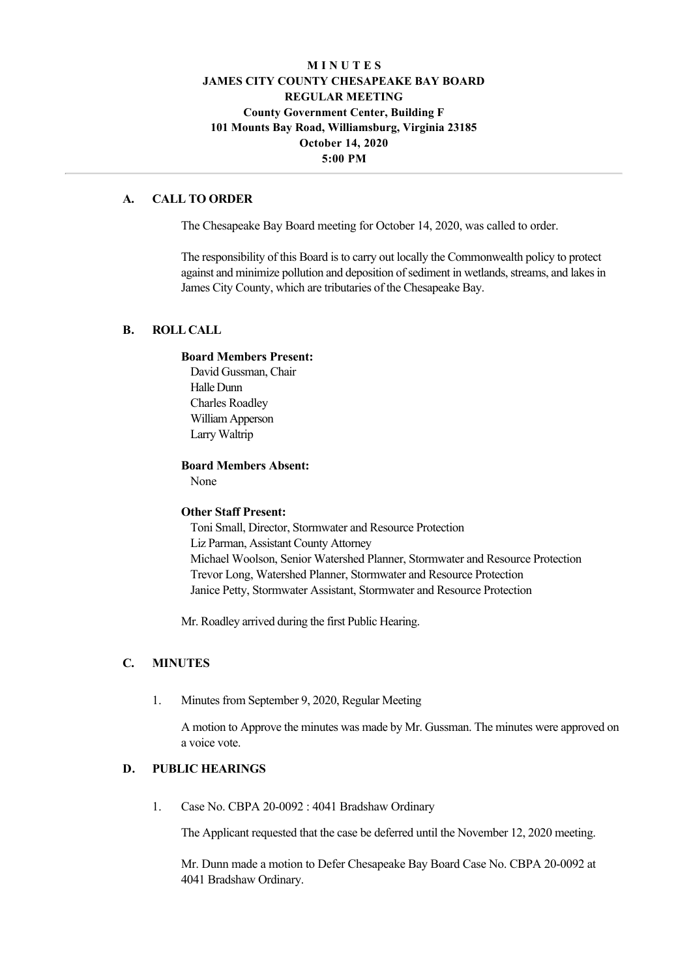# **M I N U T E S JAMES CITY COUNTY CHESAPEAKE BAY BOARD REGULAR MEETING County Government Center, Building F 101 Mounts Bay Road, Williamsburg, Virginia 23185 October 14, 2020 5:00 PM**

## **A. CALL TO ORDER**

The Chesapeake Bay Board meeting for October 14, 2020, was called to order.

The responsibility of this Board is to carry out locally the Commonwealth policy to protect against and minimize pollution and deposition of sediment in wetlands, streams, and lakes in James City County, which are tributaries of the Chesapeake Bay.

## **B. ROLL CALL**

#### **Board Members Present:**

David Gussman, Chair Halle Dunn Charles Roadley William Apperson Larry Waltrip

#### **Board Members Absent:**

None

### **Other Staff Present:**

Toni Small, Director, Stormwater and Resource Protection Liz Parman, Assistant County Attorney Michael Woolson, Senior Watershed Planner, Stormwater and Resource Protection Trevor Long, Watershed Planner, Stormwater and Resource Protection Janice Petty, Stormwater Assistant, Stormwater and Resource Protection

Mr. Roadley arrived during the first Public Hearing.

### **C. MINUTES**

1. Minutes from September 9, 2020, Regular Meeting

A motion to Approve the minutes was made by Mr. Gussman. The minutes were approved on a voice vote.

## **D. PUBLIC HEARINGS**

1. Case No. CBPA 20-0092 : 4041 Bradshaw Ordinary

The Applicant requested that the case be deferred until the November 12, 2020 meeting.

Mr. Dunn made a motion to Defer Chesapeake Bay Board Case No. CBPA 20-0092 at 4041 Bradshaw Ordinary.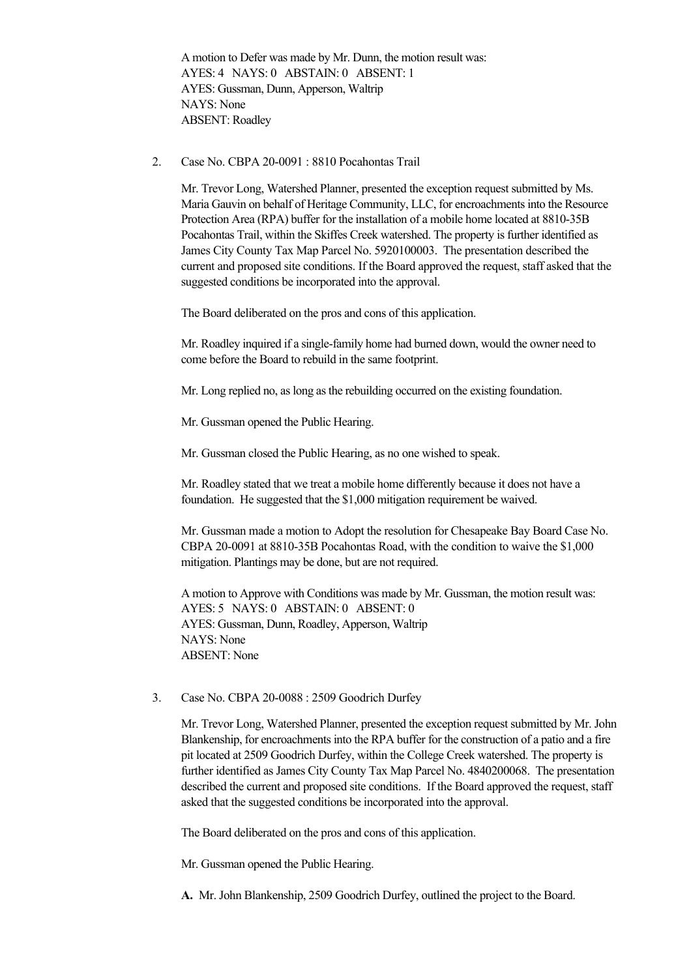A motion to Defer was made by Mr. Dunn, the motion result was: AYES: 4 NAYS: 0 ABSTAIN: 0 ABSENT: 1 AYES: Gussman, Dunn, Apperson, Waltrip NAYS: None ABSENT: Roadley

2. Case No. CBPA  $20-0091 : 8810$  Pocahontas Trail

Mr. Trevor Long, Watershed Planner, presented the exception request submitted by Ms. Maria Gauvin on behalf of Heritage Community, LLC, for encroachments into the Resource Protection Area (RPA) buffer for the installation of a mobile home located at 8810-35B Pocahontas Trail, within the Skiffes Creek watershed. The property is further identified as James City County Tax Map Parcel No. 5920100003. The presentation described the current and proposed site conditions. If the Board approved the request, staff asked that the suggested conditions be incorporated into the approval.

The Board deliberated on the pros and cons of this application.

Mr. Roadley inquired if a single-family home had burned down, would the owner need to come before the Board to rebuild in the same footprint.

Mr. Long replied no, as long as the rebuilding occurred on the existing foundation.

Mr. Gussman opened the Public Hearing.

Mr. Gussman closed the Public Hearing, as no one wished to speak.

Mr. Roadley stated that we treat a mobile home differently because it does not have a foundation. He suggested that the \$1,000 mitigation requirement be waived.

Mr. Gussman made a motion to Adopt the resolution for Chesapeake Bay Board Case No. CBPA 20-0091 at 8810-35B Pocahontas Road, with the condition to waive the \$1,000 mitigation. Plantings may be done, but are not required.

A motion to Approve with Conditions was made by Mr. Gussman, the motion result was: AYES: 5 NAYS: 0 ABSTAIN: 0 ABSENT: 0 AYES: Gussman, Dunn, Roadley, Apperson, Waltrip NAYS: None ABSENT: None

3. Case No. CBPA 20-0088 : 2509 Goodrich Durfey

Mr. Trevor Long, Watershed Planner, presented the exception request submitted by Mr. John Blankenship, for encroachments into the RPA buffer for the construction of a patio and a fire pit located at 2509 Goodrich Durfey, within the College Creek watershed. The property is further identified as James City County Tax Map Parcel No. 4840200068. The presentation described the current and proposed site conditions. If the Board approved the request, staff asked that the suggested conditions be incorporated into the approval.

The Board deliberated on the pros and cons of this application.

Mr. Gussman opened the Public Hearing.

**A.** Mr. John Blankenship, 2509 Goodrich Durfey, outlined the project to the Board.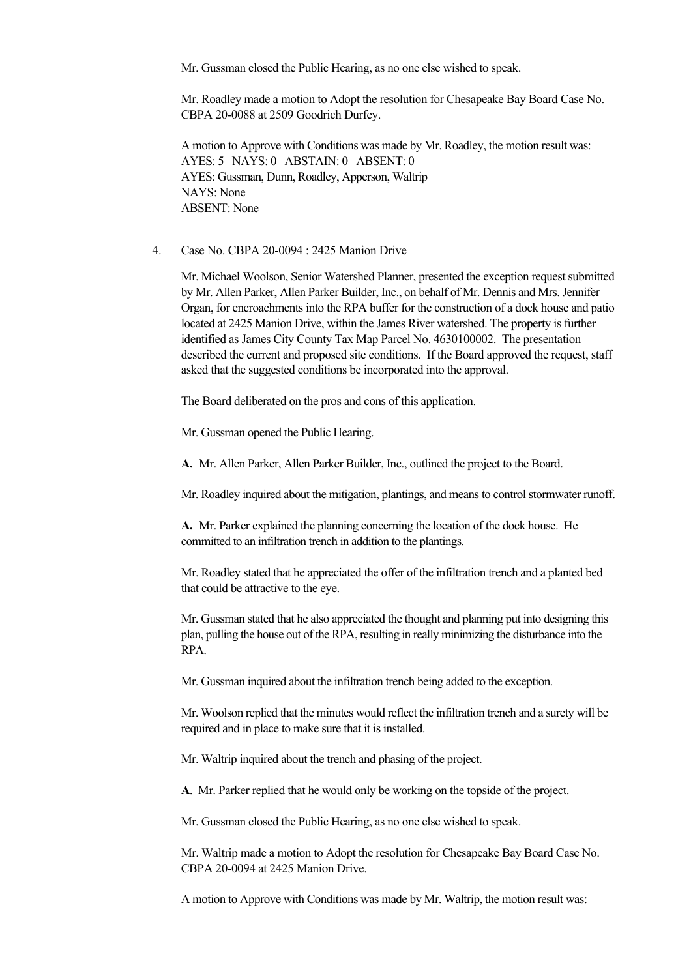Mr. Gussman closed the Public Hearing, as no one else wished to speak.

Mr. Roadley made a motion to Adopt the resolution for Chesapeake Bay Board Case No. CBPA 20-0088 at 2509 Goodrich Durfey.

A motion to Approve with Conditions was made by Mr. Roadley, the motion result was: AYES: 5 NAYS: 0 ABSTAIN: 0 ABSENT: 0 AYES: Gussman, Dunn, Roadley, Apperson, Waltrip NAYS: None ABSENT: None

4. Case No. CBPA 20-0094 : 2425 Manion Drive

Mr. Michael Woolson, Senior Watershed Planner, presented the exception request submitted by Mr. Allen Parker, Allen Parker Builder, Inc., on behalf of Mr. Dennis and Mrs. Jennifer Organ, for encroachments into the RPA buffer for the construction of a dock house and patio located at 2425 Manion Drive, within the James River watershed. The property is further identified as James City County Tax Map Parcel No. 4630100002. The presentation described the current and proposed site conditions. If the Board approved the request, staff asked that the suggested conditions be incorporated into the approval.

The Board deliberated on the pros and cons of this application.

Mr. Gussman opened the Public Hearing.

**A.**  Mr. Allen Parker, Allen Parker Builder, Inc., outlined the project to the Board.

Mr. Roadley inquired about the mitigation, plantings, and means to control stormwater runoff.

**A.** Mr. Parker explained the planning concerning the location of the dock house. He committed to an infiltration trench in addition to the plantings.

Mr. Roadley stated that he appreciated the offer of the infiltration trench and a planted bed that could be attractive to the eye.

Mr. Gussman stated that he also appreciated the thought and planning put into designing this plan, pulling the house out of the RPA, resulting in really minimizing the disturbance into the RPA.

Mr. Gussman inquired about the infiltration trench being added to the exception.

Mr. Woolson replied that the minutes would reflect the infiltration trench and a surety will be required and in place to make sure that it is installed.

Mr. Waltrip inquired about the trench and phasing of the project.

**A**. Mr. Parker replied that he would only be working on the topside of the project.

Mr. Gussman closed the Public Hearing, as no one else wished to speak.

Mr. Waltrip made a motion to Adopt the resolution for Chesapeake Bay Board Case No. CBPA 20-0094 at 2425 Manion Drive.

A motion to Approve with Conditions was made by Mr. Waltrip, the motion result was: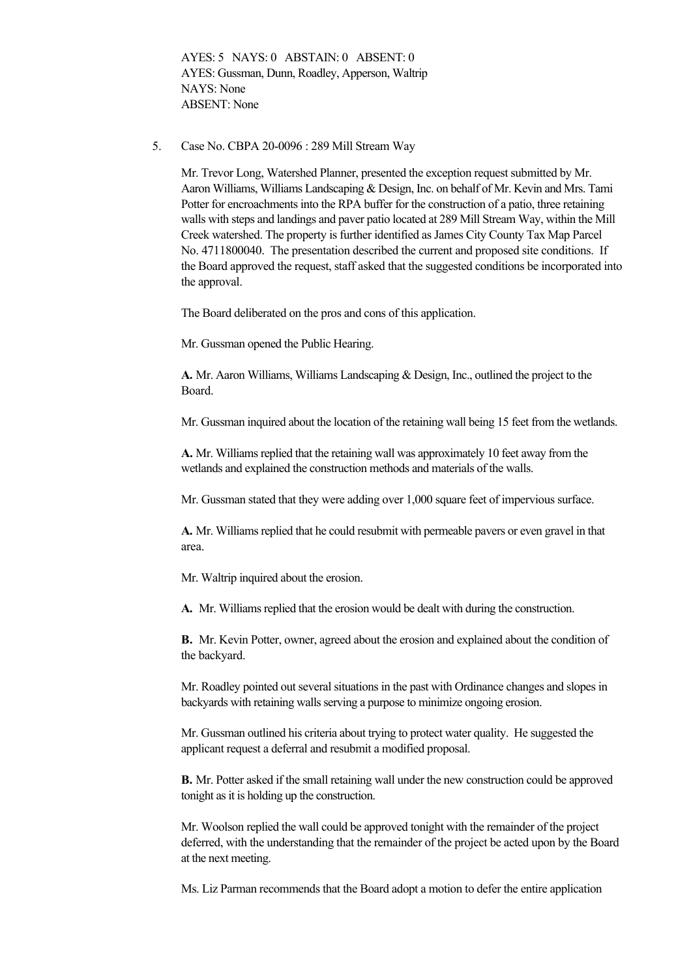AYES: 5 NAYS: 0 ABSTAIN: 0 ABSENT: 0 AYES: Gussman, Dunn, Roadley, Apperson, Waltrip NAYS: None ABSENT: None

5. Case No. CBPA 20-0096 : 289 Mill Stream Way

Mr. Trevor Long, Watershed Planner, presented the exception request submitted by Mr. Aaron Williams, Williams Landscaping & Design, Inc. on behalf of Mr. Kevin and Mrs. Tami Potter for encroachments into the RPA buffer for the construction of a patio, three retaining walls with steps and landings and paver patio located at 289 Mill Stream Way, within the Mill Creek watershed. The property is further identified as James City County Tax Map Parcel No. 4711800040. The presentation described the current and proposed site conditions. If the Board approved the request, staff asked that the suggested conditions be incorporated into the approval.

The Board deliberated on the pros and cons of this application.

Mr. Gussman opened the Public Hearing.

**A.** Mr. Aaron Williams, Williams Landscaping & Design, Inc., outlined the project to the Board.

Mr. Gussman inquired about the location of the retaining wall being 15 feet from the wetlands.

**A.** Mr. Williams replied that the retaining wall was approximately 10 feet away from the wetlands and explained the construction methods and materials of the walls.

Mr. Gussman stated that they were adding over 1,000 square feet of impervious surface.

**A.** Mr. Williams replied that he could resubmit with permeable pavers or even gravel in that area.

Mr. Waltrip inquired about the erosion.

**A.** Mr. Williams replied that the erosion would be dealt with during the construction.

**B.** Mr. Kevin Potter, owner, agreed about the erosion and explained about the condition of the backyard.

Mr. Roadley pointed out several situations in the past with Ordinance changes and slopes in backyards with retaining walls serving a purpose to minimize ongoing erosion.

Mr. Gussman outlined his criteria about trying to protect water quality. He suggested the applicant request a deferral and resubmit a modified proposal.

**B.** Mr. Potter asked if the small retaining wall under the new construction could be approved tonight as it is holding up the construction.

Mr. Woolson replied the wall could be approved tonight with the remainder of the project deferred, with the understanding that the remainder of the project be acted upon by the Board at the next meeting.

Ms. Liz Parman recommends that the Board adopt a motion to defer the entire application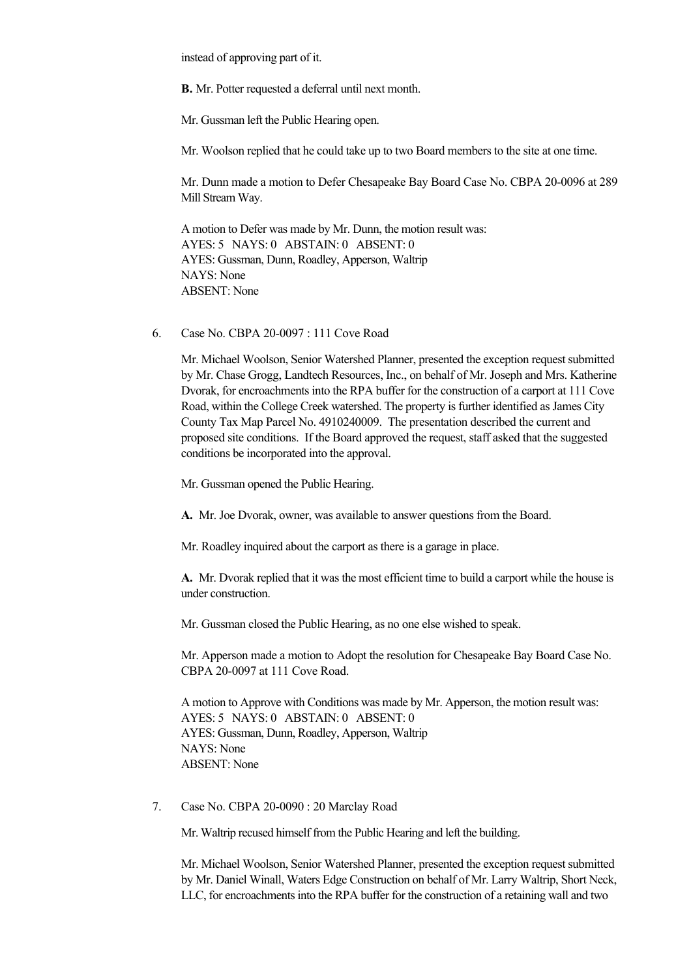instead of approving part of it.

**B.** Mr. Potter requested a deferral until next month.

Mr. Gussman left the Public Hearing open.

Mr. Woolson replied that he could take up to two Board members to the site at one time.

Mr. Dunn made a motion to Defer Chesapeake Bay Board Case No. CBPA 20-0096 at 289 Mill Stream Way.

A motion to Defer was made by Mr. Dunn, the motion result was: AYES: 5 NAYS: 0 ABSTAIN: 0 ABSENT: 0 AYES: Gussman, Dunn, Roadley, Apperson, Waltrip NAYS: None ABSENT: None

6. Case No. CBPA 20-0097 : 111 Cove Road

Mr. Michael Woolson, Senior Watershed Planner, presented the exception request submitted by Mr. Chase Grogg, Landtech Resources, Inc., on behalf of Mr. Joseph and Mrs. Katherine Dvorak, for encroachments into the RPA buffer for the construction of a carport at 111 Cove Road, within the College Creek watershed. The property is further identified as James City County Tax Map Parcel No. 4910240009. The presentation described the current and proposed site conditions. If the Board approved the request, staff asked that the suggested conditions be incorporated into the approval.

Mr. Gussman opened the Public Hearing.

**A.**  Mr. Joe Dvorak, owner, was available to answer questions from the Board.

Mr. Roadley inquired about the carport as there is a garage in place.

**A.**  Mr. Dvorak replied that it was the most efficient time to build a carport while the house is under construction.

Mr. Gussman closed the Public Hearing, as no one else wished to speak.

Mr. Apperson made a motion to Adopt the resolution for Chesapeake Bay Board Case No. CBPA 20-0097 at 111 Cove Road.

A motion to Approve with Conditions was made by Mr. Apperson, the motion result was: AYES: 5 NAYS: 0 ABSTAIN: 0 ABSENT: 0 AYES: Gussman, Dunn, Roadley, Apperson, Waltrip NAYS: None ABSENT: None

7. Case No. CBPA 20-0090 : 20 Marclay Road

Mr. Waltrip recused himself from the Public Hearing and left the building.

Mr. Michael Woolson, Senior Watershed Planner, presented the exception request submitted by Mr. Daniel Winall, Waters Edge Construction on behalf of Mr. Larry Waltrip, Short Neck, LLC, for encroachments into the RPA buffer for the construction of a retaining wall and two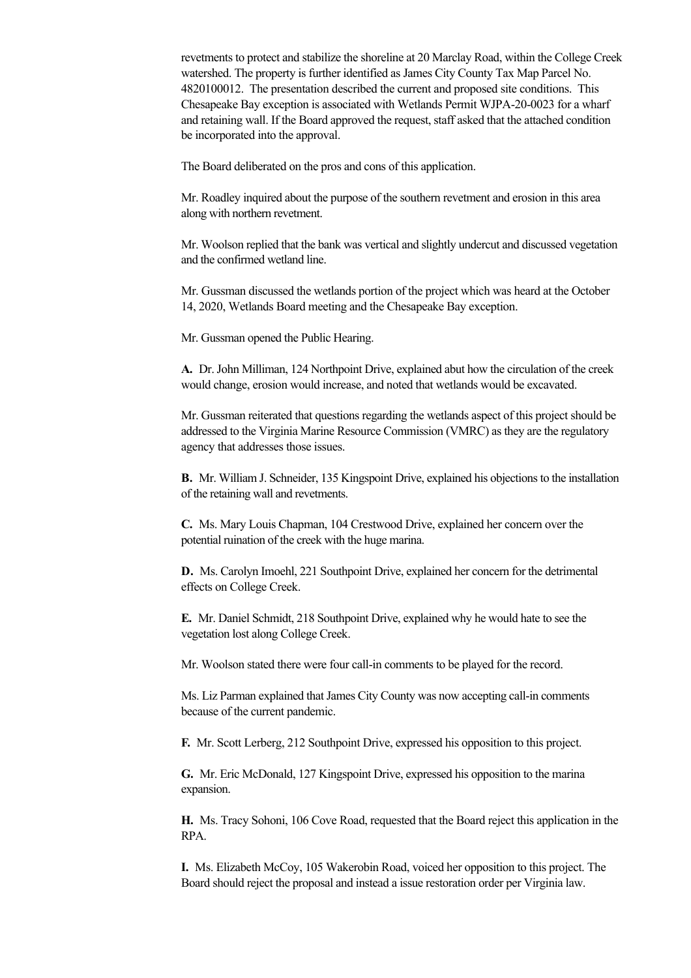revetments to protect and stabilize the shoreline at 20 Marclay Road, within the College Creek watershed. The property is further identified as James City County Tax Map Parcel No. 4820100012. The presentation described the current and proposed site conditions. This Chesapeake Bay exception is associated with Wetlands Permit WJPA-20-0023 for a wharf and retaining wall. If the Board approved the request, staff asked that the attached condition be incorporated into the approval.

The Board deliberated on the pros and cons of this application.

Mr. Roadley inquired about the purpose of the southern revetment and erosion in this area along with northern revetment.

Mr. Woolson replied that the bank was vertical and slightly undercut and discussed vegetation and the confirmed wetland line.

Mr. Gussman discussed the wetlands portion of the project which was heard at the October 14, 2020, Wetlands Board meeting and the Chesapeake Bay exception.

Mr. Gussman opened the Public Hearing.

**A.** Dr. John Milliman, 124 Northpoint Drive, explained abut how the circulation of the creek would change, erosion would increase, and noted that wetlands would be excavated.

Mr. Gussman reiterated that questions regarding the wetlands aspect of this project should be addressed to the Virginia Marine Resource Commission (VMRC) as they are the regulatory agency that addresses those issues.

**B.** Mr. William J. Schneider, 135 Kingspoint Drive, explained his objections to the installation of the retaining wall and revetments.

**C.** Ms. Mary Louis Chapman, 104 Crestwood Drive, explained her concern over the potential ruination of the creek with the huge marina.

**D.** Ms. Carolyn Imoehl, 221 Southpoint Drive, explained her concern for the detrimental effects on College Creek.

**E.** Mr. Daniel Schmidt, 218 Southpoint Drive, explained why he would hate to see the vegetation lost along College Creek.

Mr. Woolson stated there were four call-in comments to be played for the record.

Ms. Liz Parman explained that James City County was now accepting callin comments because of the current pandemic.

**F.** Mr. Scott Lerberg, 212 Southpoint Drive, expressed his opposition to this project.

**G.** Mr. Eric McDonald, 127 Kingspoint Drive, expressed his opposition to the marina expansion.

**H.** Ms. Tracy Sohoni, 106 Cove Road, requested that the Board reject this application in the RPA.

**I.** Ms. Elizabeth McCoy, 105 Wakerobin Road, voiced her opposition to this project. The Board should reject the proposal and instead a issue restoration order per Virginia law.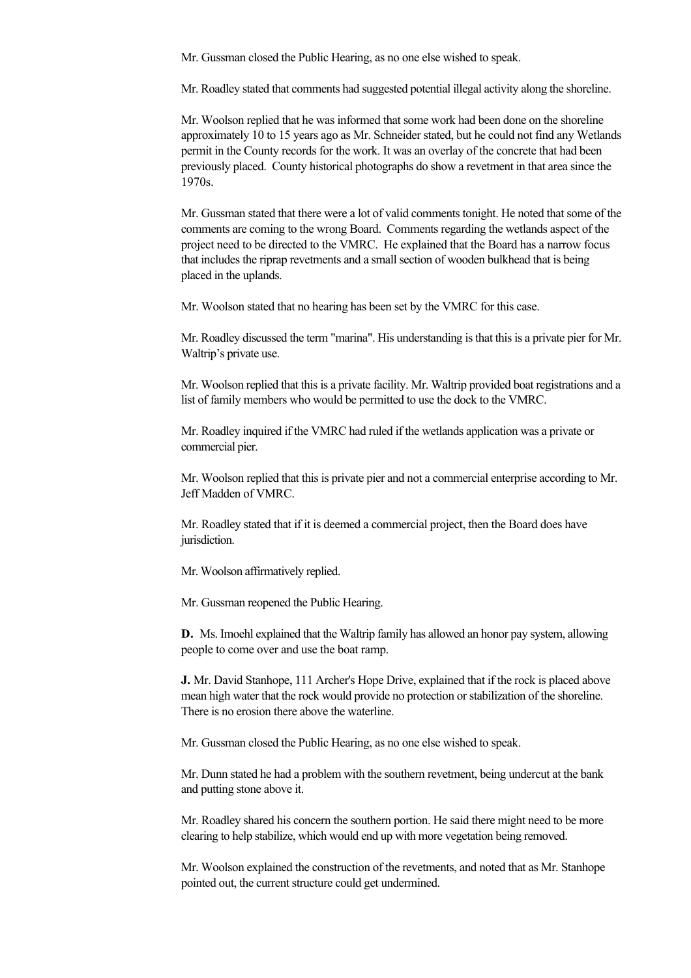Mr. Gussman closed the Public Hearing, as no one else wished to speak.

Mr. Roadley stated that comments had suggested potential illegal activity along the shoreline.

Mr. Woolson replied that he was informed that some work had been done on the shoreline approximately 10 to 15 years ago as Mr. Schneider stated, but he could not find any Wetlands permit in the County records for the work. It was an overlay of the concrete that had been previously placed. County historical photographs do show a revetment in that area since the 1970s.

Mr. Gussman stated that there were a lot of valid comments tonight. He noted that some of the comments are coming to the wrong Board. Comments regarding the wetlands aspect of the project need to be directed to the VMRC. He explained that the Board has a narrow focus that includes the riprap revetments and a small section of wooden bulkhead that is being placed in the uplands.

Mr. Woolson stated that no hearing has been set by the VMRC for this case.

Mr. Roadley discussed the term "marina". His understanding is that this is a private pier for Mr. Waltrip's private use.

Mr. Woolson replied that this is a private facility. Mr. Waltrip provided boat registrations and a list of family members who would be permitted to use the dock to the VMRC.

Mr. Roadley inquired if the VMRC had ruled if the wetlands application was a private or commercial pier.

Mr. Woolson replied that this is private pier and not a commercial enterprise according to Mr. Jeff Madden of VMRC.

Mr. Roadley stated that if it is deemed a commercial project, then the Board does have jurisdiction.

Mr. Woolson affirmatively replied.

Mr. Gussman reopened the Public Hearing.

**D.** Ms. Imoehl explained that the Waltrip family has allowed an honor pay system, allowing people to come over and use the boat ramp.

**J.** Mr. David Stanhope, 111 Archer's Hope Drive, explained that if the rock is placed above mean high water that the rock would provide no protection or stabilization of the shoreline. There is no erosion there above the waterline.

Mr. Gussman closed the Public Hearing, as no one else wished to speak.

Mr. Dunn stated he had a problem with the southern revetment, being undercut at the bank and putting stone above it.

Mr. Roadley shared his concern the southern portion. He said there might need to be more clearing to help stabilize, which would end up with more vegetation being removed.

Mr. Woolson explained the construction of the revetments, and noted that as Mr. Stanhope pointed out, the current structure could get undermined.